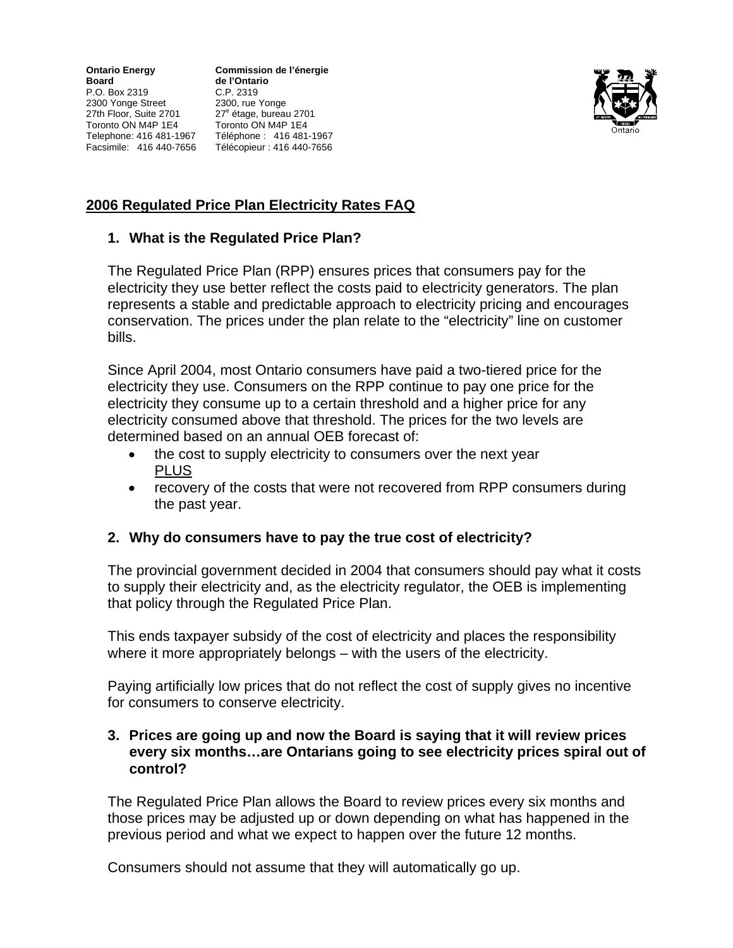**Ontario Energy Commission de l'énergie Board de l'Ontario**<br> **P.O.** Box 2319 **C.P.** 2319 P.O. Box 2319 C.P. 2319 2300 Yonge Street 2300, rue Yonge 27th Floor, Suite 2701 27<sup>e</sup> Toronto ON M4P 1E4 Toronto ON M4P 1E4 Facsimile: 416 440-7656 Télécopieur : 416 440-7656

27<sup>e</sup> étage, bureau 2701 Telephone: 416 481-1967 Téléphone : 416 481-1967



# **2006 Regulated Price Plan Electricity Rates FAQ**

### **1. What is the Regulated Price Plan?**

The Regulated Price Plan (RPP) ensures prices that consumers pay for the electricity they use better reflect the costs paid to electricity generators. The plan represents a stable and predictable approach to electricity pricing and encourages conservation. The prices under the plan relate to the "electricity" line on customer bills.

Since April 2004, most Ontario consumers have paid a two-tiered price for the electricity they use. Consumers on the RPP continue to pay one price for the electricity they consume up to a certain threshold and a higher price for any electricity consumed above that threshold. The prices for the two levels are determined based on an annual OEB forecast of:

- the cost to supply electricity to consumers over the next year PLUS
- recovery of the costs that were not recovered from RPP consumers during the past year.

# **2. Why do consumers have to pay the true cost of electricity?**

The provincial government decided in 2004 that consumers should pay what it costs to supply their electricity and, as the electricity regulator, the OEB is implementing that policy through the Regulated Price Plan.

This ends taxpayer subsidy of the cost of electricity and places the responsibility where it more appropriately belongs – with the users of the electricity.

Paying artificially low prices that do not reflect the cost of supply gives no incentive for consumers to conserve electricity.

#### **3. Prices are going up and now the Board is saying that it will review prices every six months…are Ontarians going to see electricity prices spiral out of control?**

The Regulated Price Plan allows the Board to review prices every six months and those prices may be adjusted up or down depending on what has happened in the previous period and what we expect to happen over the future 12 months.

Consumers should not assume that they will automatically go up.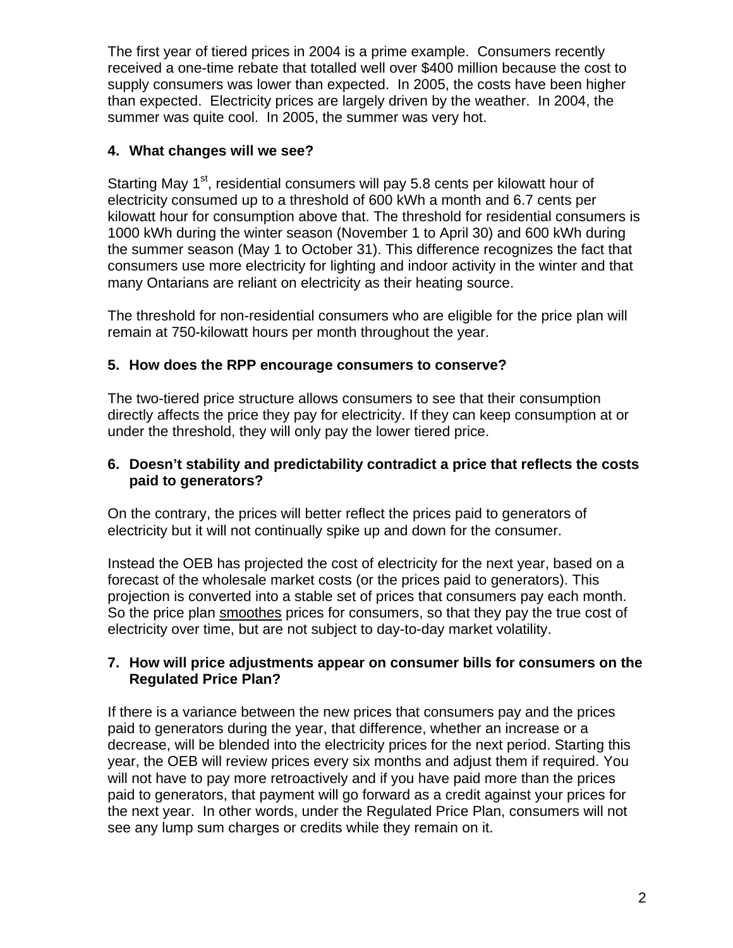The first year of tiered prices in 2004 is a prime example. Consumers recently received a one-time rebate that totalled well over \$400 million because the cost to supply consumers was lower than expected. In 2005, the costs have been higher than expected. Electricity prices are largely driven by the weather. In 2004, the summer was quite cool. In 2005, the summer was very hot.

# **4. What changes will we see?**

Starting May 1<sup>st</sup>, residential consumers will pay 5.8 cents per kilowatt hour of electricity consumed up to a threshold of 600 kWh a month and 6.7 cents per kilowatt hour for consumption above that. The threshold for residential consumers is 1000 kWh during the winter season (November 1 to April 30) and 600 kWh during the summer season (May 1 to October 31). This difference recognizes the fact that consumers use more electricity for lighting and indoor activity in the winter and that many Ontarians are reliant on electricity as their heating source.

The threshold for non-residential consumers who are eligible for the price plan will remain at 750-kilowatt hours per month throughout the year.

# **5. How does the RPP encourage consumers to conserve?**

The two-tiered price structure allows consumers to see that their consumption directly affects the price they pay for electricity. If they can keep consumption at or under the threshold, they will only pay the lower tiered price.

### **6. Doesn't stability and predictability contradict a price that reflects the costs paid to generators?**

On the contrary, the prices will better reflect the prices paid to generators of electricity but it will not continually spike up and down for the consumer.

Instead the OEB has projected the cost of electricity for the next year, based on a forecast of the wholesale market costs (or the prices paid to generators). This projection is converted into a stable set of prices that consumers pay each month. So the price plan smoothes prices for consumers, so that they pay the true cost of electricity over time, but are not subject to day-to-day market volatility.

### **7. How will price adjustments appear on consumer bills for consumers on the Regulated Price Plan?**

If there is a variance between the new prices that consumers pay and the prices paid to generators during the year, that difference, whether an increase or a decrease, will be blended into the electricity prices for the next period. Starting this year, the OEB will review prices every six months and adjust them if required. You will not have to pay more retroactively and if you have paid more than the prices paid to generators, that payment will go forward as a credit against your prices for the next year. In other words, under the Regulated Price Plan, consumers will not see any lump sum charges or credits while they remain on it.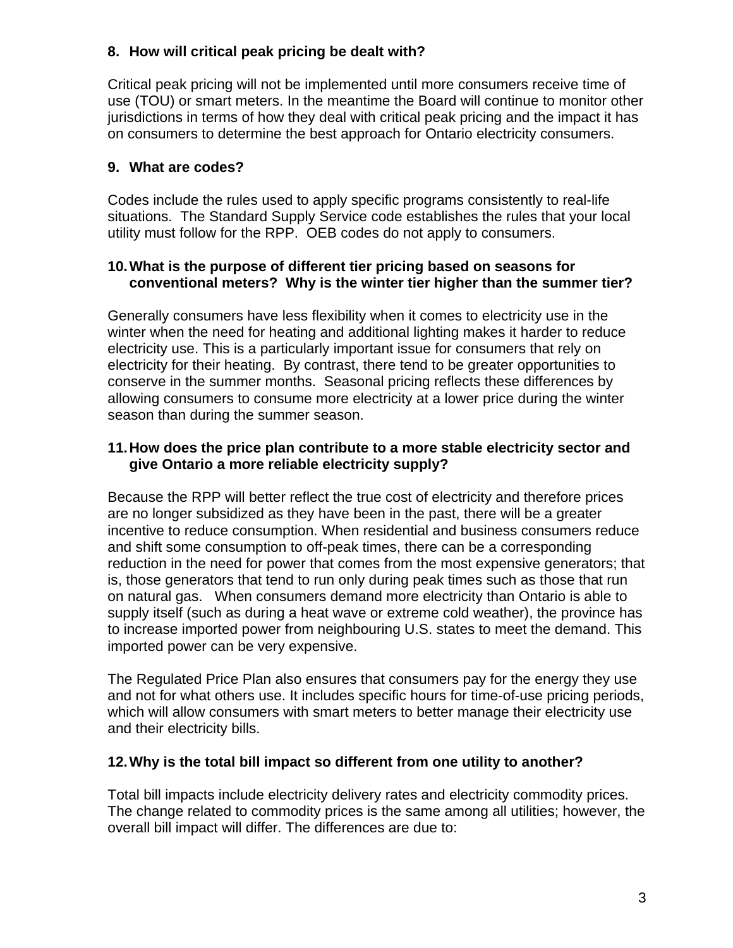# **8. How will critical peak pricing be dealt with?**

Critical peak pricing will not be implemented until more consumers receive time of use (TOU) or smart meters. In the meantime the Board will continue to monitor other jurisdictions in terms of how they deal with critical peak pricing and the impact it has on consumers to determine the best approach for Ontario electricity consumers.

# **9. What are codes?**

Codes include the rules used to apply specific programs consistently to real-life situations. The Standard Supply Service code establishes the rules that your local utility must follow for the RPP. OEB codes do not apply to consumers.

### **10. What is the purpose of different tier pricing based on seasons for conventional meters? Why is the winter tier higher than the summer tier?**

Generally consumers have less flexibility when it comes to electricity use in the winter when the need for heating and additional lighting makes it harder to reduce electricity use. This is a particularly important issue for consumers that rely on electricity for their heating. By contrast, there tend to be greater opportunities to conserve in the summer months. Seasonal pricing reflects these differences by allowing consumers to consume more electricity at a lower price during the winter season than during the summer season.

### **11. How does the price plan contribute to a more stable electricity sector and give Ontario a more reliable electricity supply?**

Because the RPP will better reflect the true cost of electricity and therefore prices are no longer subsidized as they have been in the past, there will be a greater incentive to reduce consumption. When residential and business consumers reduce and shift some consumption to off-peak times, there can be a corresponding reduction in the need for power that comes from the most expensive generators; that is, those generators that tend to run only during peak times such as those that run on natural gas. When consumers demand more electricity than Ontario is able to supply itself (such as during a heat wave or extreme cold weather), the province has to increase imported power from neighbouring U.S. states to meet the demand. This imported power can be very expensive.

The Regulated Price Plan also ensures that consumers pay for the energy they use and not for what others use. It includes specific hours for time-of-use pricing periods, which will allow consumers with smart meters to better manage their electricity use and their electricity bills.

# **12. Why is the total bill impact so different from one utility to another?**

Total bill impacts include electricity delivery rates and electricity commodity prices. The change related to commodity prices is the same among all utilities; however, the overall bill impact will differ. The differences are due to: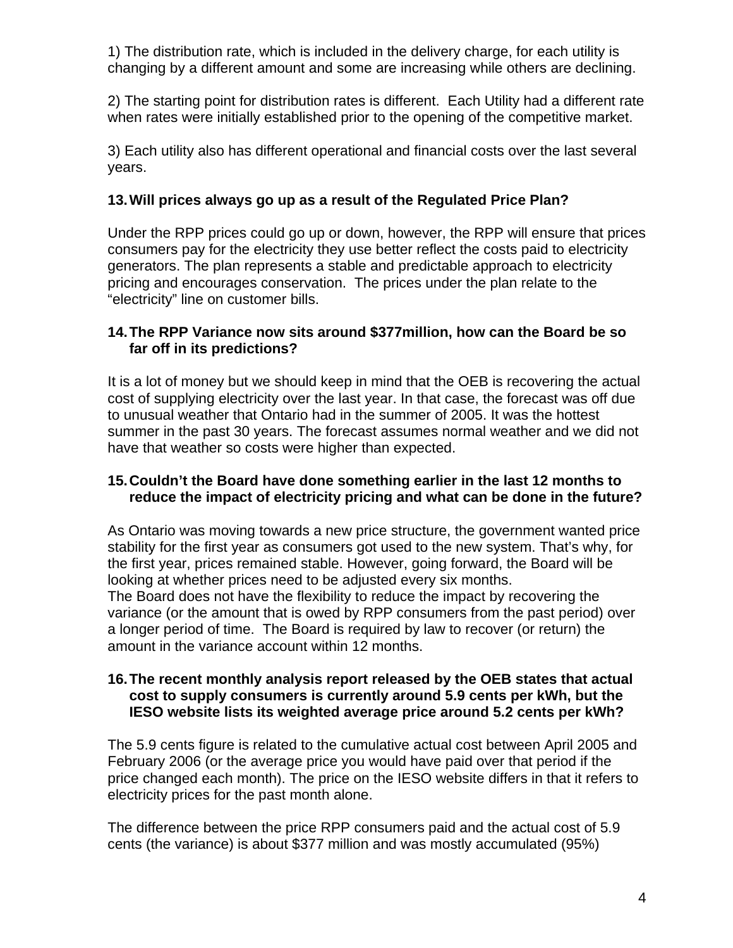1) The distribution rate, which is included in the delivery charge, for each utility is changing by a different amount and some are increasing while others are declining.

2) The starting point for distribution rates is different. Each Utility had a different rate when rates were initially established prior to the opening of the competitive market.

3) Each utility also has different operational and financial costs over the last several years.

# **13. Will prices always go up as a result of the Regulated Price Plan?**

Under the RPP prices could go up or down, however, the RPP will ensure that prices consumers pay for the electricity they use better reflect the costs paid to electricity generators. The plan represents a stable and predictable approach to electricity pricing and encourages conservation. The prices under the plan relate to the "electricity" line on customer bills.

### **14. The RPP Variance now sits around \$377million, how can the Board be so far off in its predictions?**

It is a lot of money but we should keep in mind that the OEB is recovering the actual cost of supplying electricity over the last year. In that case, the forecast was off due to unusual weather that Ontario had in the summer of 2005. It was the hottest summer in the past 30 years. The forecast assumes normal weather and we did not have that weather so costs were higher than expected.

### **15. Couldn't the Board have done something earlier in the last 12 months to reduce the impact of electricity pricing and what can be done in the future?**

As Ontario was moving towards a new price structure, the government wanted price stability for the first year as consumers got used to the new system. That's why, for the first year, prices remained stable. However, going forward, the Board will be looking at whether prices need to be adjusted every six months.

The Board does not have the flexibility to reduce the impact by recovering the variance (or the amount that is owed by RPP consumers from the past period) over a longer period of time. The Board is required by law to recover (or return) the amount in the variance account within 12 months.

#### **16. The recent monthly analysis report released by the OEB states that actual cost to supply consumers is currently around 5.9 cents per kWh, but the IESO website lists its weighted average price around 5.2 cents per kWh?**

The 5.9 cents figure is related to the cumulative actual cost between April 2005 and February 2006 (or the average price you would have paid over that period if the price changed each month). The price on the IESO website differs in that it refers to electricity prices for the past month alone.

The difference between the price RPP consumers paid and the actual cost of 5.9 cents (the variance) is about \$377 million and was mostly accumulated (95%)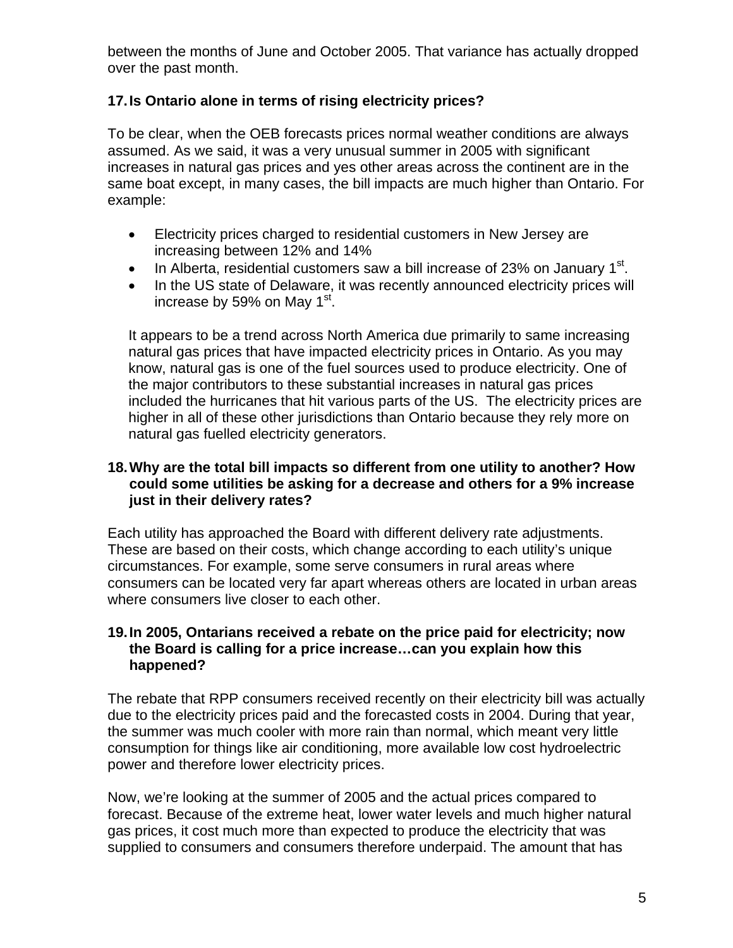between the months of June and October 2005. That variance has actually dropped over the past month.

# **17. Is Ontario alone in terms of rising electricity prices?**

To be clear, when the OEB forecasts prices normal weather conditions are always assumed. As we said, it was a very unusual summer in 2005 with significant increases in natural gas prices and yes other areas across the continent are in the same boat except, in many cases, the bill impacts are much higher than Ontario. For example:

- Electricity prices charged to residential customers in New Jersey are increasing between 12% and 14%
- In Alberta, residential customers saw a bill increase of 23% on January 1<sup>st</sup>.
- In the US state of Delaware, it was recently announced electricity prices will increase by 59% on May  $1<sup>st</sup>$ .

It appears to be a trend across North America due primarily to same increasing natural gas prices that have impacted electricity prices in Ontario. As you may know, natural gas is one of the fuel sources used to produce electricity. One of the major contributors to these substantial increases in natural gas prices included the hurricanes that hit various parts of the US. The electricity prices are higher in all of these other jurisdictions than Ontario because they rely more on natural gas fuelled electricity generators.

### **18. Why are the total bill impacts so different from one utility to another? How could some utilities be asking for a decrease and others for a 9% increase just in their delivery rates?**

Each utility has approached the Board with different delivery rate adjustments. These are based on their costs, which change according to each utility's unique circumstances. For example, some serve consumers in rural areas where consumers can be located very far apart whereas others are located in urban areas where consumers live closer to each other.

### **19. In 2005, Ontarians received a rebate on the price paid for electricity; now the Board is calling for a price increase…can you explain how this happened?**

The rebate that RPP consumers received recently on their electricity bill was actually due to the electricity prices paid and the forecasted costs in 2004. During that year, the summer was much cooler with more rain than normal, which meant very little consumption for things like air conditioning, more available low cost hydroelectric power and therefore lower electricity prices.

Now, we're looking at the summer of 2005 and the actual prices compared to forecast. Because of the extreme heat, lower water levels and much higher natural gas prices, it cost much more than expected to produce the electricity that was supplied to consumers and consumers therefore underpaid. The amount that has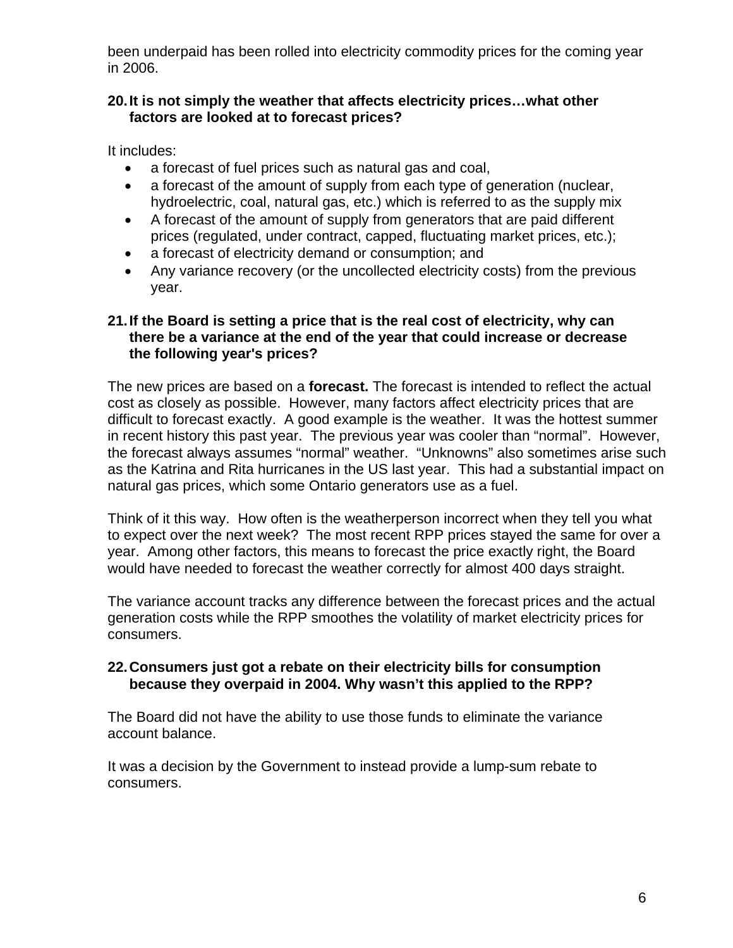been underpaid has been rolled into electricity commodity prices for the coming year in 2006.

### **20. It is not simply the weather that affects electricity prices…what other factors are looked at to forecast prices?**

It includes:

- a forecast of fuel prices such as natural gas and coal,
- a forecast of the amount of supply from each type of generation (nuclear, hydroelectric, coal, natural gas, etc.) which is referred to as the supply mix
- A forecast of the amount of supply from generators that are paid different prices (regulated, under contract, capped, fluctuating market prices, etc.);
- a forecast of electricity demand or consumption; and
- Any variance recovery (or the uncollected electricity costs) from the previous year.

### **21. If the Board is setting a price that is the real cost of electricity, why can there be a variance at the end of the year that could increase or decrease the following year's prices?**

The new prices are based on a **forecast.** The forecast is intended to reflect the actual cost as closely as possible. However, many factors affect electricity prices that are difficult to forecast exactly. A good example is the weather. It was the hottest summer in recent history this past year. The previous year was cooler than "normal". However, the forecast always assumes "normal" weather. "Unknowns" also sometimes arise such as the Katrina and Rita hurricanes in the US last year. This had a substantial impact on natural gas prices, which some Ontario generators use as a fuel.

Think of it this way. How often is the weatherperson incorrect when they tell you what to expect over the next week? The most recent RPP prices stayed the same for over a year. Among other factors, this means to forecast the price exactly right, the Board would have needed to forecast the weather correctly for almost 400 days straight.

The variance account tracks any difference between the forecast prices and the actual generation costs while the RPP smoothes the volatility of market electricity prices for consumers.

### **22. Consumers just got a rebate on their electricity bills for consumption because they overpaid in 2004. Why wasn't this applied to the RPP?**

The Board did not have the ability to use those funds to eliminate the variance account balance.

It was a decision by the Government to instead provide a lump-sum rebate to consumers.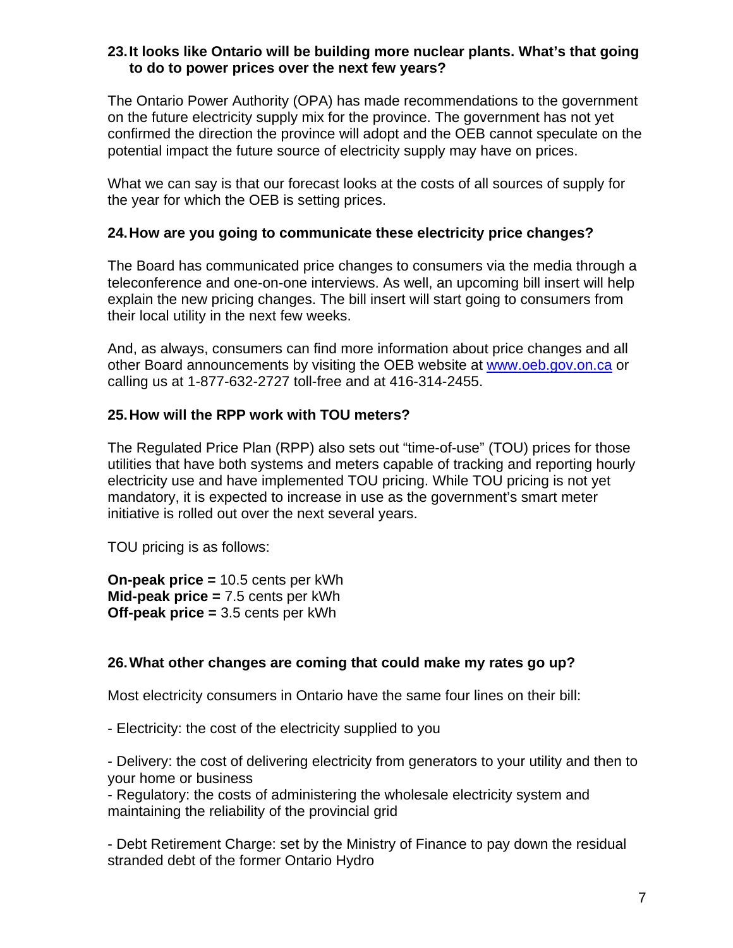#### **23. It looks like Ontario will be building more nuclear plants. What's that going to do to power prices over the next few years?**

The Ontario Power Authority (OPA) has made recommendations to the government on the future electricity supply mix for the province. The government has not yet confirmed the direction the province will adopt and the OEB cannot speculate on the potential impact the future source of electricity supply may have on prices.

What we can say is that our forecast looks at the costs of all sources of supply for the year for which the OEB is setting prices.

### **24. How are you going to communicate these electricity price changes?**

The Board has communicated price changes to consumers via the media through a teleconference and one-on-one interviews. As well, an upcoming bill insert will help explain the new pricing changes. The bill insert will start going to consumers from their local utility in the next few weeks.

And, as always, consumers can find more information about price changes and all other Board announcements by visiting the OEB website at [www.oeb.gov.on.ca](http://www.oeb.gov.on.ca/) or calling us at 1-877-632-2727 toll-free and at 416-314-2455.

# **25. How will the RPP work with TOU meters?**

The Regulated Price Plan (RPP) also sets out "time-of-use" (TOU) prices for those utilities that have both systems and meters capable of tracking and reporting hourly electricity use and have implemented TOU pricing. While TOU pricing is not yet mandatory, it is expected to increase in use as the government's smart meter initiative is rolled out over the next several years.

TOU pricing is as follows:

**On-peak price =** 10.5 cents per kWh **Mid-peak price =** 7.5 cents per kWh **Off-peak price =** 3.5 cents per kWh

# **26. What other changes are coming that could make my rates go up?**

Most electricity consumers in Ontario have the same four lines on their bill:

- Electricity: the cost of the electricity supplied to you

- Delivery: the cost of delivering electricity from generators to your utility and then to your home or business

- Regulatory: the costs of administering the wholesale electricity system and maintaining the reliability of the provincial grid

- Debt Retirement Charge: set by the Ministry of Finance to pay down the residual stranded debt of the former Ontario Hydro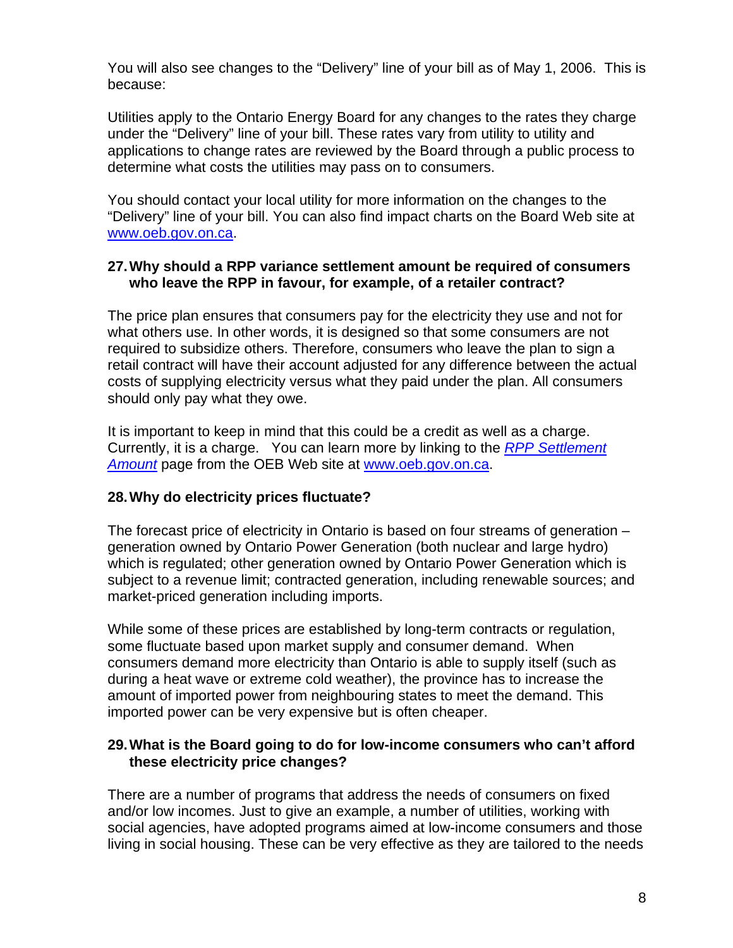You will also see changes to the "Delivery" line of your bill as of May 1, 2006. This is because:

Utilities apply to the Ontario Energy Board for any changes to the rates they charge under the "Delivery" line of your bill. These rates vary from utility to utility and applications to change rates are reviewed by the Board through a public process to determine what costs the utilities may pass on to consumers.

You should contact your local utility for more information on the changes to the "Delivery" line of your bill. You can also find impact charts on the Board Web site at [www.oeb.gov.on.ca.](http://www.oeb.gov.on.ca/)

### **27. Why should a RPP variance settlement amount be required of consumers who leave the RPP in favour, for example, of a retailer contract?**

The price plan ensures that consumers pay for the electricity they use and not for what others use. In other words, it is designed so that some consumers are not required to subsidize others. Therefore, consumers who leave the plan to sign a retail contract will have their account adjusted for any difference between the actual costs of supplying electricity versus what they paid under the plan. All consumers should only pay what they owe.

It is important to keep in mind that this could be a credit as well as a charge. Currently, it is a charge. You can learn more by linking to the *RPP Settlement Amount* page from the OEB Web site at [www.oeb.gov.on.ca.](http://www.oeb.gov.on.ca/)

# **28. Why do electricity prices fluctuate?**

The forecast price of electricity in Ontario is based on four streams of generation – generation owned by Ontario Power Generation (both nuclear and large hydro) which is regulated; other generation owned by Ontario Power Generation which is subject to a revenue limit; contracted generation, including renewable sources; and market-priced generation including imports.

While some of these prices are established by long-term contracts or regulation, some fluctuate based upon market supply and consumer demand. When consumers demand more electricity than Ontario is able to supply itself (such as during a heat wave or extreme cold weather), the province has to increase the amount of imported power from neighbouring states to meet the demand. This imported power can be very expensive but is often cheaper.

#### **29. What is the Board going to do for low-income consumers who can't afford these electricity price changes?**

There are a number of programs that address the needs of consumers on fixed and/or low incomes. Just to give an example, a number of utilities, working with social agencies, have adopted programs aimed at low-income consumers and those living in social housing. These can be very effective as they are tailored to the needs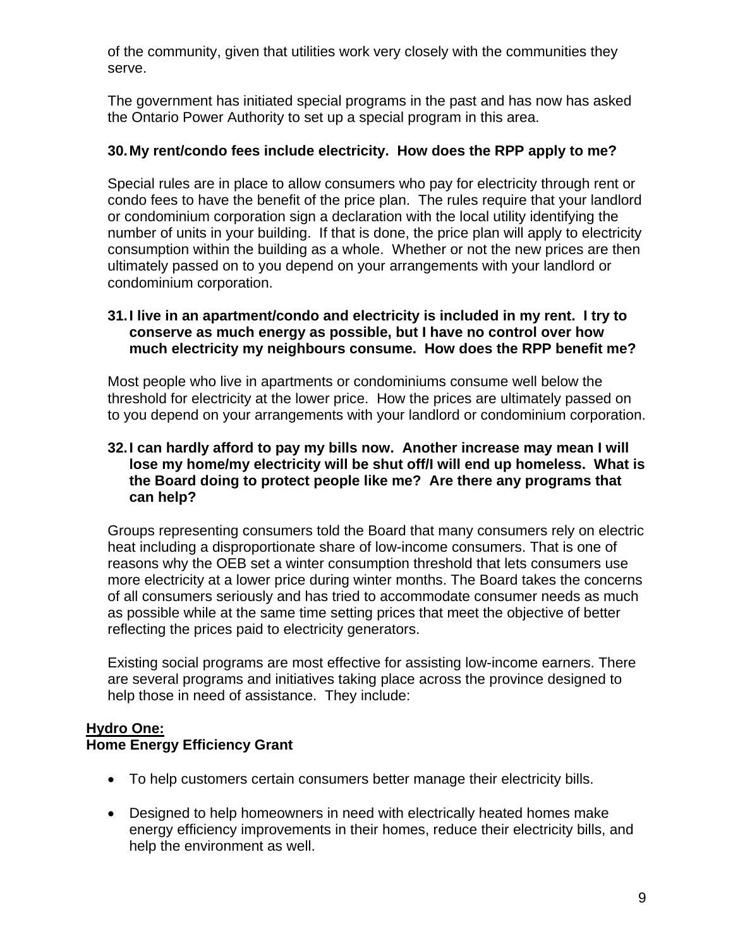of the community, given that utilities work very closely with the communities they serve.

The government has initiated special programs in the past and has now has asked the Ontario Power Authority to set up a special program in this area.

### **30. My rent/condo fees include electricity. How does the RPP apply to me?**

Special rules are in place to allow consumers who pay for electricity through rent or condo fees to have the benefit of the price plan. The rules require that your landlord or condominium corporation sign a declaration with the local utility identifying the number of units in your building. If that is done, the price plan will apply to electricity consumption within the building as a whole. Whether or not the new prices are then ultimately passed on to you depend on your arrangements with your landlord or condominium corporation.

#### **31. I live in an apartment/condo and electricity is included in my rent. I try to conserve as much energy as possible, but I have no control over how much electricity my neighbours consume. How does the RPP benefit me?**

Most people who live in apartments or condominiums consume well below the threshold for electricity at the lower price. How the prices are ultimately passed on to you depend on your arrangements with your landlord or condominium corporation.

### **32. I can hardly afford to pay my bills now. Another increase may mean I will lose my home/my electricity will be shut off/I will end up homeless. What is the Board doing to protect people like me? Are there any programs that can help?**

Groups representing consumers told the Board that many consumers rely on electric heat including a disproportionate share of low-income consumers. That is one of reasons why the OEB set a winter consumption threshold that lets consumers use more electricity at a lower price during winter months. The Board takes the concerns of all consumers seriously and has tried to accommodate consumer needs as much as possible while at the same time setting prices that meet the objective of better reflecting the prices paid to electricity generators.

Existing social programs are most effective for assisting low-income earners. There are several programs and initiatives taking place across the province designed to help those in need of assistance. They include:

# **Hydro One:**

# **Home Energy Efficiency Grant**

- To help customers certain consumers better manage their electricity bills.
- Designed to help homeowners in need with electrically heated homes make energy efficiency improvements in their homes, reduce their electricity bills, and help the environment as well.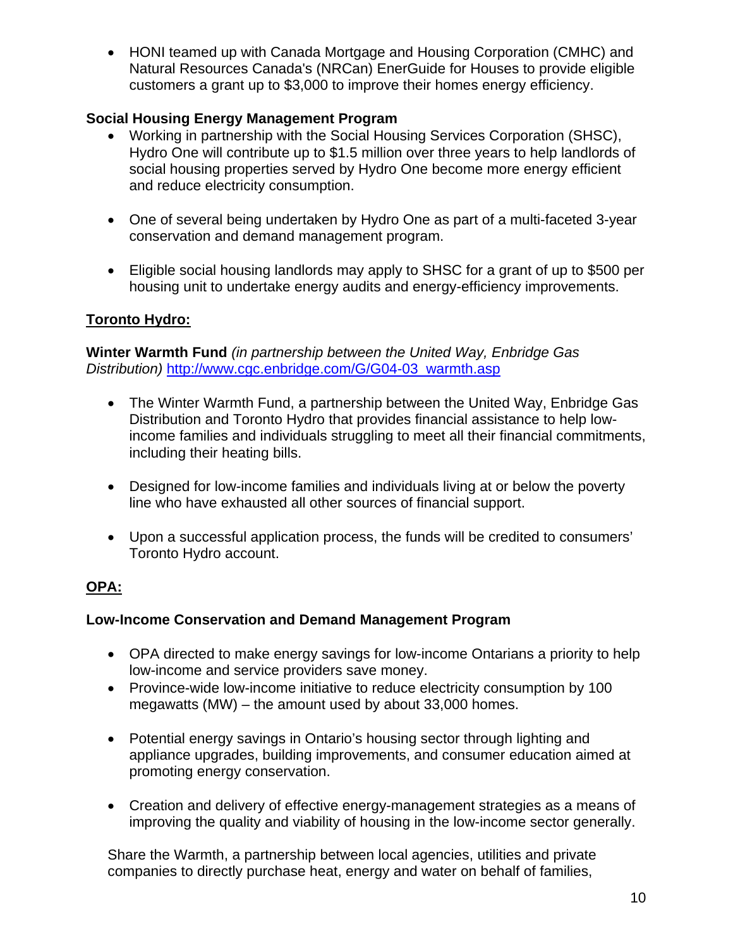• HONI teamed up with Canada Mortgage and Housing Corporation (CMHC) and Natural Resources Canada's (NRCan) EnerGuide for Houses to provide eligible customers a grant up to \$3,000 to improve their homes energy efficiency.

# **Social Housing Energy Management Program**

- Working in partnership with the Social Housing Services Corporation (SHSC), Hydro One will contribute up to \$1.5 million over three years to help landlords of social housing properties served by Hydro One become more energy efficient and reduce electricity consumption.
- One of several being undertaken by Hydro One as part of a multi-faceted 3-year conservation and demand management program.
- Eligible social housing landlords may apply to SHSC for a grant of up to \$500 per housing unit to undertake energy audits and energy-efficiency improvements.

# **Toronto Hydro:**

**Winter Warmth Fund** *(in partnership between the United Way, Enbridge Gas Distribution)* [http://www.cgc.enbridge.com/G/G04-03\\_warmth.asp](http://www.cgc.enbridge.com/G/G04-03_warmth.asp)

- The Winter Warmth Fund, a partnership between the United Way, Enbridge Gas Distribution and Toronto Hydro that provides financial assistance to help lowincome families and individuals struggling to meet all their financial commitments, including their heating bills.
- Designed for low-income families and individuals living at or below the poverty line who have exhausted all other sources of financial support.
- Upon a successful application process, the funds will be credited to consumers' Toronto Hydro account.

# **OPA:**

# **Low-Income Conservation and Demand Management Program**

- OPA directed to make energy savings for low-income Ontarians a priority to help low-income and service providers save money.
- Province-wide low-income initiative to reduce electricity consumption by 100 megawatts (MW) – the amount used by about 33,000 homes.
- Potential energy savings in Ontario's housing sector through lighting and appliance upgrades, building improvements, and consumer education aimed at promoting energy conservation.
- Creation and delivery of effective energy-management strategies as a means of improving the quality and viability of housing in the low-income sector generally.

Share the Warmth, a partnership between local agencies, utilities and private companies to directly purchase heat, energy and water on behalf of families,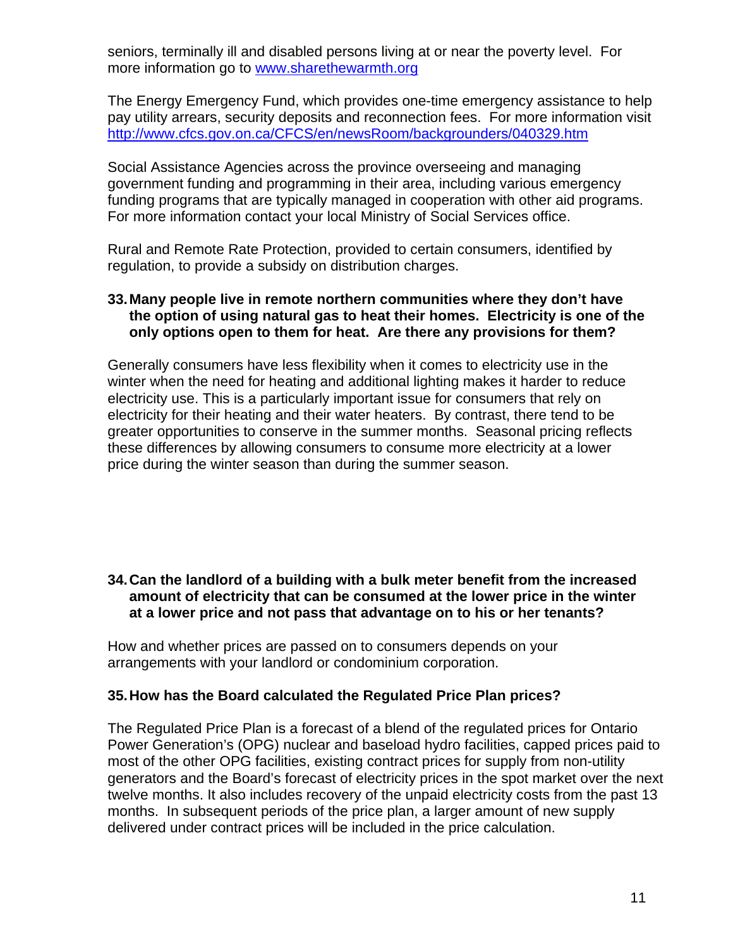seniors, terminally ill and disabled persons living at or near the poverty level. For more information go to [www.sharethewarmth.org](http://www.sharethewarmth.org/)

The Energy Emergency Fund, which provides one-time emergency assistance to help pay utility arrears, security deposits and reconnection fees. For more information visit <http://www.cfcs.gov.on.ca/CFCS/en/newsRoom/backgrounders/040329.htm>

Social Assistance Agencies across the province overseeing and managing government funding and programming in their area, including various emergency funding programs that are typically managed in cooperation with other aid programs. For more information contact your local Ministry of Social Services office.

Rural and Remote Rate Protection, provided to certain consumers, identified by regulation, to provide a subsidy on distribution charges.

#### **33. Many people live in remote northern communities where they don't have the option of using natural gas to heat their homes. Electricity is one of the only options open to them for heat. Are there any provisions for them?**

Generally consumers have less flexibility when it comes to electricity use in the winter when the need for heating and additional lighting makes it harder to reduce electricity use. This is a particularly important issue for consumers that rely on electricity for their heating and their water heaters. By contrast, there tend to be greater opportunities to conserve in the summer months. Seasonal pricing reflects these differences by allowing consumers to consume more electricity at a lower price during the winter season than during the summer season.

#### **34. Can the landlord of a building with a bulk meter benefit from the increased amount of electricity that can be consumed at the lower price in the winter at a lower price and not pass that advantage on to his or her tenants?**

How and whether prices are passed on to consumers depends on your arrangements with your landlord or condominium corporation.

#### **35. How has the Board calculated the Regulated Price Plan prices?**

The Regulated Price Plan is a forecast of a blend of the regulated prices for Ontario Power Generation's (OPG) nuclear and baseload hydro facilities, capped prices paid to most of the other OPG facilities, existing contract prices for supply from non-utility generators and the Board's forecast of electricity prices in the spot market over the next twelve months. It also includes recovery of the unpaid electricity costs from the past 13 months. In subsequent periods of the price plan, a larger amount of new supply delivered under contract prices will be included in the price calculation.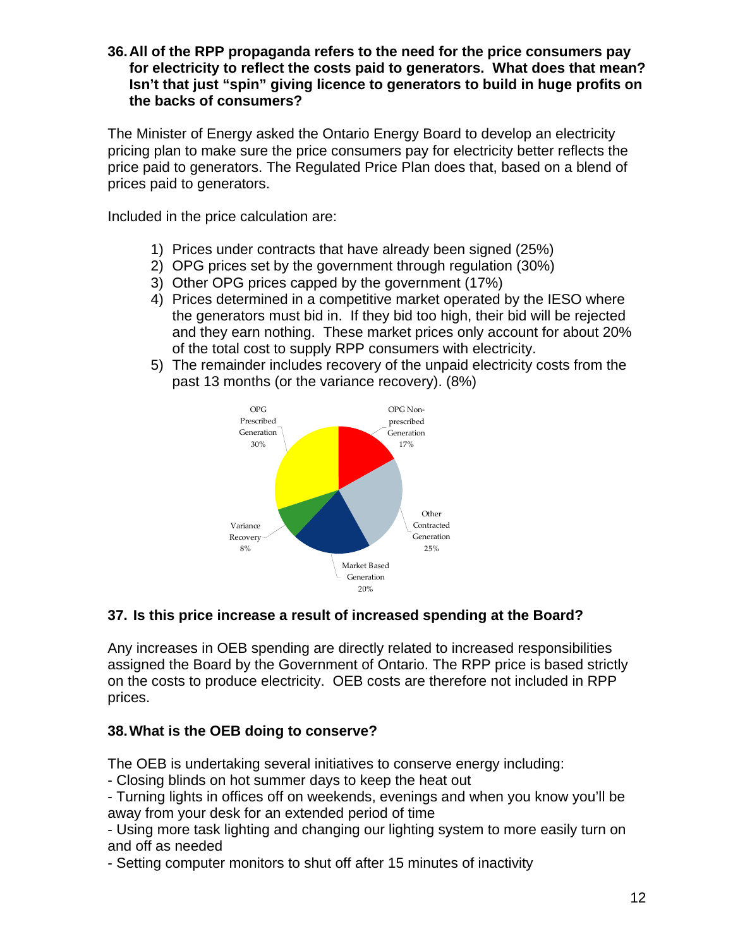**36. All of the RPP propaganda refers to the need for the price consumers pay for electricity to reflect the costs paid to generators. What does that mean? Isn't that just "spin" giving licence to generators to build in huge profits on the backs of consumers?** 

The Minister of Energy asked the Ontario Energy Board to develop an electricity pricing plan to make sure the price consumers pay for electricity better reflects the price paid to generators. The Regulated Price Plan does that, based on a blend of prices paid to generators.

Included in the price calculation are:

- 1) Prices under contracts that have already been signed (25%)
- 2) OPG prices set by the government through regulation (30%)
- 3) Other OPG prices capped by the government (17%)
- 4) Prices determined in a competitive market operated by the IESO where the generators must bid in. If they bid too high, their bid will be rejected and they earn nothing. These market prices only account for about 20% of the total cost to supply RPP consumers with electricity.
- 5) The remainder includes recovery of the unpaid electricity costs from the past 13 months (or the variance recovery). (8%)



# **37. Is this price increase a result of increased spending at the Board?**

Any increases in OEB spending are directly related to increased responsibilities assigned the Board by the Government of Ontario. The RPP price is based strictly on the costs to produce electricity. OEB costs are therefore not included in RPP prices.

# **38. What is the OEB doing to conserve?**

The OEB is undertaking several initiatives to conserve energy including:

- Closing blinds on hot summer days to keep the heat out

- Turning lights in offices off on weekends, evenings and when you know you'll be away from your desk for an extended period of time

- Using more task lighting and changing our lighting system to more easily turn on and off as needed

- Setting computer monitors to shut off after 15 minutes of inactivity